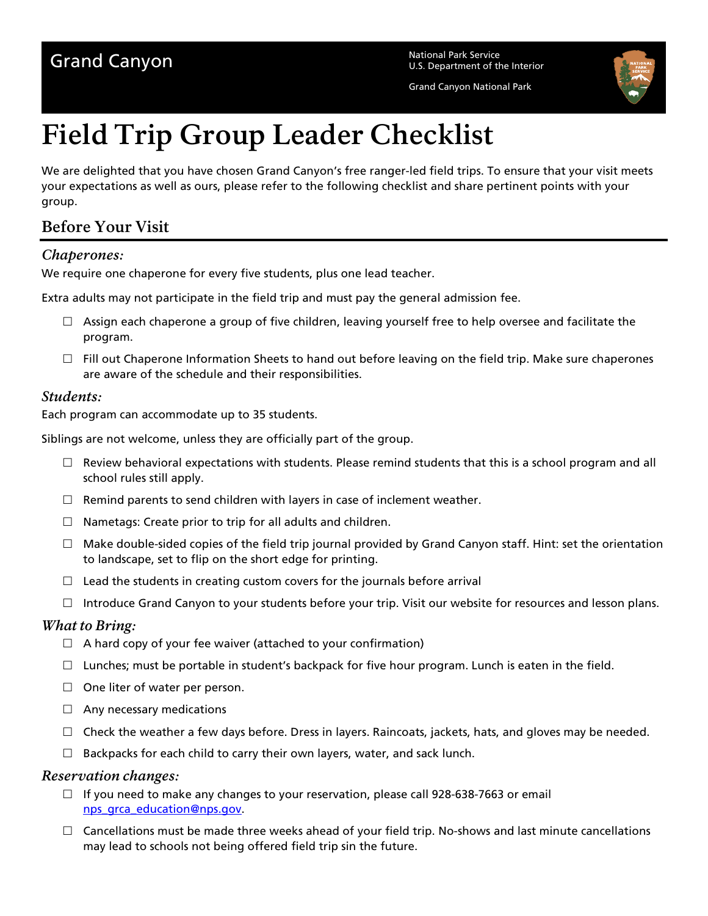U.S. Department of the Interior

Grand Canyon National Park

# **Field Trip Group Leader Checklist**

We are delighted that you have chosen Grand Canyon's free ranger-led field trips. To ensure that your visit meets your expectations as well as ours, please refer to the following checklist and share pertinent points with your group.

## **Before Your Visit**

#### *Chaperones:*

We require one chaperone for every five students, plus one lead teacher.

Extra adults may not participate in the field trip and must pay the general admission fee.

- $\Box$  Assign each chaperone a group of five children, leaving yourself free to help oversee and facilitate the program.
- $\Box$  Fill out Chaperone Information Sheets to hand out before leaving on the field trip. Make sure chaperones are aware of the schedule and their responsibilities.

#### *Students:*

Each program can accommodate up to 35 students.

Siblings are not welcome, unless they are officially part of the group.

- $\Box$  Review behavioral expectations with students. Please remind students that this is a school program and all school rules still apply.
- $\Box$  Remind parents to send children with layers in case of inclement weather.
- $\Box$  Nametags: Create prior to trip for all adults and children.
- $\Box$  Make double-sided copies of the field trip journal provided by Grand Canyon staff. Hint: set the orientation to landscape, set to flip on the short edge for printing.
- $\Box$  Lead the students in creating custom covers for the journals before arrival
- $\Box$  Introduce Grand Canyon to your students before your trip. Visit our website for resources and lesson plans.

#### *What to Bring:*

- $\Box$  A hard copy of your fee waiver (attached to your confirmation)
- $\Box$  Lunches; must be portable in student's backpack for five hour program. Lunch is eaten in the field.
- $\Box$  One liter of water per person.
- $\Box$  Any necessary medications
- $\Box$  Check the weather a few days before. Dress in layers. Raincoats, jackets, hats, and gloves may be needed.
- $\Box$  Backpacks for each child to carry their own layers, water, and sack lunch.

#### *Reservation changes:*

- $\Box$  If you need to make any changes to your reservation, please call 928-638-7663 or email nps grca\_education@nps.gov.
- $\Box$  Cancellations must be made three weeks ahead of your field trip. No-shows and last minute cancellations may lead to schools not being offered field trip sin the future.